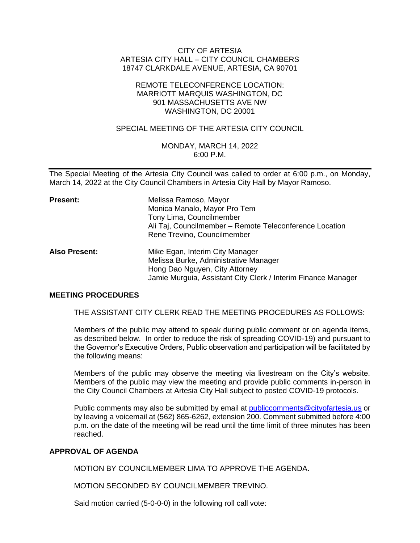# CITY OF ARTESIA ARTESIA CITY HALL – CITY COUNCIL CHAMBERS 18747 CLARKDALE AVENUE, ARTESIA, CA 90701

## REMOTE TELECONFERENCE LOCATION: MARRIOTT MARQUIS WASHINGTON, DC 901 MASSACHUSETTS AVE NW WASHINGTON, DC 20001

# SPECIAL MEETING OF THE ARTESIA CITY COUNCIL

# MONDAY, MARCH 14, 2022 6:00 P.M.

The Special Meeting of the Artesia City Council was called to order at 6:00 p.m., on Monday, March 14, 2022 at the City Council Chambers in Artesia City Hall by Mayor Ramoso.

| Present:             | Melissa Ramoso, Mayor<br>Monica Manalo, Mayor Pro Tem<br>Tony Lima, Councilmember<br>Ali Taj, Councilmember - Remote Teleconference Location<br>Rene Trevino, Councilmember |
|----------------------|-----------------------------------------------------------------------------------------------------------------------------------------------------------------------------|
| <b>Also Present:</b> | Mike Egan, Interim City Manager<br>Melissa Burke, Administrative Manager<br>Hong Dao Nguyen, City Attorney<br>Jamie Murguia, Assistant City Clerk / Interim Finance Manager |

## **MEETING PROCEDURES**

THE ASSISTANT CITY CLERK READ THE MEETING PROCEDURES AS FOLLOWS:

Members of the public may attend to speak during public comment or on agenda items, as described below. In order to reduce the risk of spreading COVID-19) and pursuant to the Governor's Executive Orders, Public observation and participation will be facilitated by the following means:

Members of the public may observe the meeting via livestream on the City's website. Members of the public may view the meeting and provide public comments in-person in the City Council Chambers at Artesia City Hall subject to posted COVID-19 protocols.

Public comments may also be submitted by email at [publiccomments@cityofartesia.us](mailto:publiccomments@cityofartesia.us) or by leaving a voicemail at (562) 865-6262, extension 200. Comment submitted before 4:00 p.m. on the date of the meeting will be read until the time limit of three minutes has been reached.

## **APPROVAL OF AGENDA**

MOTION BY COUNCILMEMBER LIMA TO APPROVE THE AGENDA.

MOTION SECONDED BY COUNCILMEMBER TREVINO.

Said motion carried (5-0-0-0) in the following roll call vote: